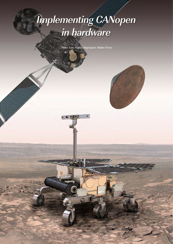# **Implementing CANopen in hardware**

*Pietro Tosi, Franco Bigongiari, Walter Errico*

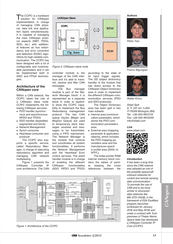The CCIPC is a hardware<br>solution for CANopen<br>implementation in charge implementation in charge of managing CAN physical, data link and application layers simultaneously. It is capable of managing the main CANopen protocol aspects (NMT, PDOs, SDO, etc.) with additional features as bus redundancy and error correction and detection (EDAC) algorithms for high-reliable communication. The CCIPC has been designed with a lot of configurable and customizable parameters and it can be implemented both in ASIC and FPGA technologies.

#### **Architecture of the CANopen core**

Within a CAN network, the CCIPC takes the role of a CANopen slave node. CCIPC implements the following CANopen services:

- ◆ PDO handler (synchronous and asynchronous RPDO and TPDO)
- ◆ SDO handler (expedited, segmented and block)
- ◆ Network Management
- ◆ Synch consumer
- ◆ Heartbeat consumer and producer

The CCIPC also supports a specific service, called Redundancy Manager, in charge of executing redundancy algorithm and managing CAN network multiplexing.

Figure 1 presents the CANopen Controller IP core architecture. The CAN



*Figure 2: CANopen slave node*

controller module is the manager of the CAN interface and it's able to transmit, receive and filter CAN messages.

The Bus manager module is part of the Network Manager block; it is represented as a separate block in order to explicitly show the CCIPC capability to implement the Bus Redundancy management protocol. The two CAN queue blocks (MsgIn and MsgOut Queue) are used to temporaryly store messages received and messages to be transmitted, using a FIFO mechanism. The Network Manager is the module that controls and coordinates all system functionalities. It performs the Network Management and the Heartbeat Error control services. The event handler module is in charge of enabling the different CANopen functionalities (SDO, RPDO and TPDO)

according to the state of its input trigger signals. The OD (object dictionary) handler is the module that has direct access to the CANopen Object Dictionary area in order to implement the different CANopen communication services (PDO and SDO protocols).

The Object Dictionary area has been split in two main subsets:

- ◆ Internal area (communication parameter), which stores the PDO communication parameters area;
- ◆ External area (mapping parameter & application objects), which includes the PDO mapping parameters area and the manufacturer-specific profile area (2000 $h$  to 5FFFh).

The Index pointer RAM internal memory block contains the tables of pointer, keeping the cross references between the  $\triangleright$ 



*Figure 1: Architecture of the CCIPC*

CAN **Newsletter 3/2013 13**

**Authors**



*Pietro Tosi*



*Franco Bigongiari*



*Walter Errico*

*Sitael SpA* S. P. 231 km 1+300 *IT-70026 Modugno (BA)* Tel.: +39-050-9912116 Fax: +39-050-9910249 *info@sitael.com*

**Link**



#### **Introduction**

*It has been a long time since the CAN network was adopted as one of the possible spacecraft onboard networks for control and remote sensing data communication. To promote the use of CAN and to be more similar to structured data networks like*  MIL-STD-1553B, in the *framework of ESA ExoMars program (launches*  scheduled for January *2016 and May 2018) and under a contract with Turin premises of Thales Alenia Space Italia has developed a CANopen Controller IP Core (CCIPC).*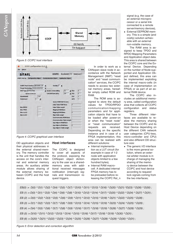

Figure 3: CCIPC host interface

| File<br><b>Others</b>                                      |                                                          | Help                                    |
|------------------------------------------------------------|----------------------------------------------------------|-----------------------------------------|
| <b>SITAEL</b>                                              | <b>CCIPC</b><br>BaseNodelD 100                           | NodeCount 1                             |
| <b>CCIPC Set Up Configuration Object</b>                   | <b>Communication Object</b><br><b>Application Object</b> |                                         |
| <b>CCIPC Host Interface GENERIC ITF</b>                    | AutoOp 0<br>週<br>E                                       |                                         |
| <b>Target Technology AXCELERATOR</b><br>SDO Type EXPEDITED | Ξ<br>$\bigstar$ System Clock (MHz)<br>16                 | $+$ RSJ<br>lo                           |
| <b>Update Comm par</b>                                     | 1M<br><b>CAN Bit Rate (bit/s)</b>                        | $\overline{2}$<br>$+$ PS2               |
| <b>BaseNodelD</b><br>100<br>NodeCount<br>圖                 |                                                          | PS <sub>1</sub><br>4<br>ŧ<br><b>BPR</b> |
|                                                            | <b>Update ROM/RAM Pointers</b>                           |                                         |
|                                                            | <b>Index Table ROM Base</b>                              | Ō                                       |
| <b>Max RPDO</b><br><b>Max TPDO</b>                         | <b>Index Table Lenght</b><br><b>Mapping ROM Base</b>     |                                         |
| Max rw AO                                                  | <b>Mapping RAM Base</b>                                  | 0                                       |
| Max ro AO                                                  | <b>Map Table Lenght</b>                                  |                                         |
|                                                            | <b>Communication ROM Base</b>                            |                                         |
|                                                            | <b>Communication Table Lenght</b>                        |                                         |
|                                                            | <b>App Objects ROM Base</b>                              |                                         |
|                                                            | <b>App Objects RAM Base</b>                              | 10                                      |
|                                                            | <b>App Objects Table Lenght</b>                          |                                         |

*Figure 4: CCIPC graphical user interface*

OD application objects and their physical addresses in the external shared-memory. The memory controller is the unit that handles the access on the core's internal and external memory areas. An auxiliary arbiter module allows sharing of the external memory between CCIPC and the host device.

#### **Host interfaces**

The CCIPC is designed to cover all aspects of the protocol, exposing the CANopen object dictionary to the user as a sharedmemory area with additional received messages notification (interrupt) signals and transmission request triggers.

In order to work as a CANopen slave node in accordance with the Network Management (NMT) "reset node" and "reset communication" services, the CCIPC needs to access two external memory areas, hereafter simply called ROM and RAM.

The ROM area is assigned to store the default values for TPDO/RPDO communication/mapping parameters and for application objects that have to be loaded after power-on or when the "reset node" or "reset communication" requests are received. Depending on the specific instance and in case of a FPGA implementation, this area can be realized with different solutions:

- ◆ Internal implementation as a LUT circuit (for example in case of 1-2 node with application objects limited to a few hundred bytes),
- ◆ Internal RAM macrocell. A dedicated internal FPGA memory has to be preloaded before releasing the CCIPC Rst\_n

signal (e.g. the case of an external microprocessor or a serial link connected to a remote server/memory devices),

**External EEPROM mem**ory. This is a simple (and costly) solution achievable with an external non-volatile memory,

The RAM area is assigned to keep TPDO and RPDO Mapping Parameters and Application object data. This area is shared between the CCIPC core and the External Device. Depending on the number of Node supported and Application Object defined, this area can be implemented exploiting the internal macro-cells (in case of implementation on FPGA) or as part of an external RAM device.

The CCIPC also includes an additional memory area, called configuration area that collects all CCIPC configuration and status registers.

Three different interfaces are available to realize the memory sharing between the CCIPC and its Host Device depending on the different CAN network user categories (CPU-less, micro-controller and CPU) and also different OD structure size:

◆ The generic I/O interface is the more general solution, where an external arbiter module is in charge of managing the sharing of the memory device between the CCIPC and host device according to request/ lock signals coming from the two interfaces;

 $EB(0) := D(0) \wedge D(1) \wedge D(2) \wedge D(4) \wedge D(5) \wedge D(7) \wedge D(10) \wedge D(11) \wedge D(13) \wedge D(16) \wedge D(20) \wedge D(21) \wedge D(23) \wedge D(26) \wedge D(30)$ ; EB (1) := D(0) ^ D(1) ^ D(3) ^ D(4) ^ D(6) ^ D(8) ^ D(10) ^ D(12) ^ D(14) ^ D(17) ^ D(20) ^ D(22) ^ D(24) ^ D(27) ^ D(31) ;  $EB (2) := D(0) ^ \wedge D(2) ^ \wedge D(3) ^ \wedge D(5) ^ \wedge D(6) ^ \wedge D(9) ^ \wedge D(11) ^ \wedge D(12) ^ \wedge D(15) ^ \wedge D(18) ^ \wedge D(21) ^ \wedge D(22) ^ \wedge D(25) ^ \wedge D(28)$ ; EB (3) := D(1) ^ D(2) ^ D(3) ^ D(7) ^ D(8) ^ D(9) ^ D(13) ^ D(14) ^ D(15) ^ D(19) ^ D(23) ^ D(24) ^ D(25) ^ D(29) ; EB (4) := D(4) ^ D(5) ^ D(6) ^ D(7) ^ D(8) ^ D(9) ^ D(16) ^ D(17) ^ D(18) ^ D(19) ^ D(26) ^ D(27) ^ D(28) ^ D(29) ; EB (5) := D(10) ^ D(11) ^ D(12) ^ D(13) ^ D(14) ^ D(15) ^ D(16) ^ D(17) ^ D(18) ^ D(19) ^ D(30) ^ D(31) ; EB (6) := D(20) ^ D(21) ^ D(22) ^ D(23) ^ D(24) ^ D(25) ^ D(26) ^ D(27) ^ D(28) ^ D(29) ^ D(30) ^ D(31) ;

*Figure 5: Error detection and correction algorithm*